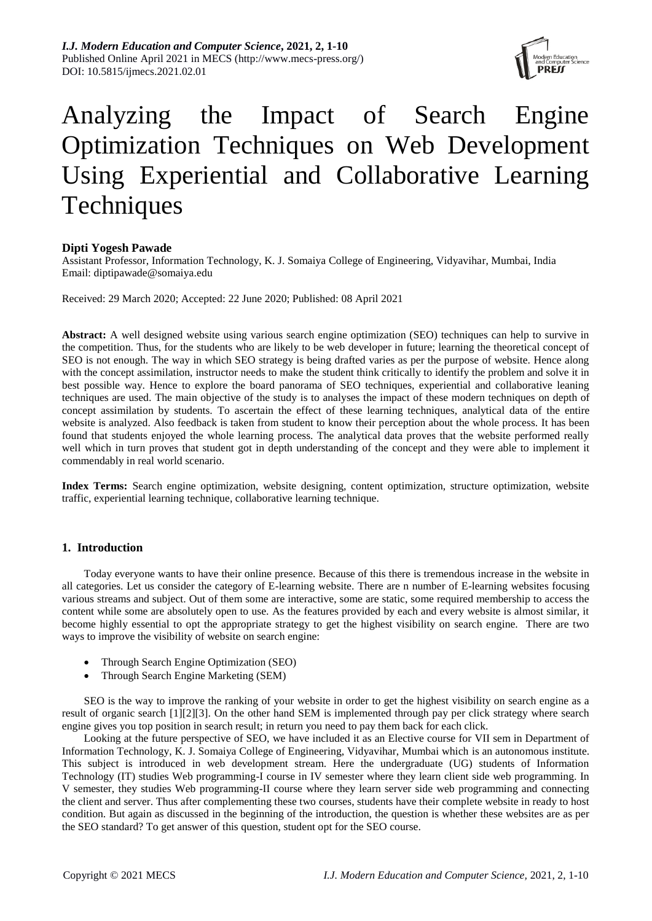

# Analyzing the Impact of Search Engine Optimization Techniques on Web Development Using Experiential and Collaborative Learning **Techniques**

# **Dipti Yogesh Pawade**

Assistant Professor, Information Technology, K. J. Somaiya College of Engineering, Vidyavihar, Mumbai, India Email: diptipawade@somaiya.edu

Received: 29 March 2020; Accepted: 22 June 2020; Published: 08 April 2021

**Abstract:** A well designed website using various search engine optimization (SEO) techniques can help to survive in the competition. Thus, for the students who are likely to be web developer in future; learning the theoretical concept of SEO is not enough. The way in which SEO strategy is being drafted varies as per the purpose of website. Hence along with the concept assimilation, instructor needs to make the student think critically to identify the problem and solve it in best possible way. Hence to explore the board panorama of SEO techniques, experiential and collaborative leaning techniques are used. The main objective of the study is to analyses the impact of these modern techniques on depth of concept assimilation by students. To ascertain the effect of these learning techniques, analytical data of the entire website is analyzed. Also feedback is taken from student to know their perception about the whole process. It has been found that students enjoyed the whole learning process. The analytical data proves that the website performed really well which in turn proves that student got in depth understanding of the concept and they were able to implement it commendably in real world scenario.

**Index Terms:** Search engine optimization, website designing, content optimization, structure optimization, website traffic, experiential learning technique, collaborative learning technique.

# **1. Introduction**

Today everyone wants to have their online presence. Because of this there is tremendous increase in the website in all categories. Let us consider the category of E-learning website. There are n number of E-learning websites focusing various streams and subject. Out of them some are interactive, some are static, some required membership to access the content while some are absolutely open to use. As the features provided by each and every website is almost similar, it become highly essential to opt the appropriate strategy to get the highest visibility on search engine. There are two ways to improve the visibility of website on search engine:

- Through Search Engine Optimization (SEO)
- Through Search Engine Marketing (SEM)

SEO is the way to improve the ranking of your website in order to get the highest visibility on search engine as a result of organic search [1][2][3]. On the other hand SEM is implemented through pay per click strategy where search engine gives you top position in search result; in return you need to pay them back for each click.

Looking at the future perspective of SEO, we have included it as an Elective course for VII sem in Department of Information Technology, K. J. Somaiya College of Engineering, Vidyavihar, Mumbai which is an autonomous institute. This subject is introduced in web development stream. Here the undergraduate (UG) students of Information Technology (IT) studies Web programming-I course in IV semester where they learn client side web programming. In V semester, they studies Web programming-II course where they learn server side web programming and connecting the client and server. Thus after complementing these two courses, students have their complete website in ready to host condition. But again as discussed in the beginning of the introduction, the question is whether these websites are as per the SEO standard? To get answer of this question, student opt for the SEO course.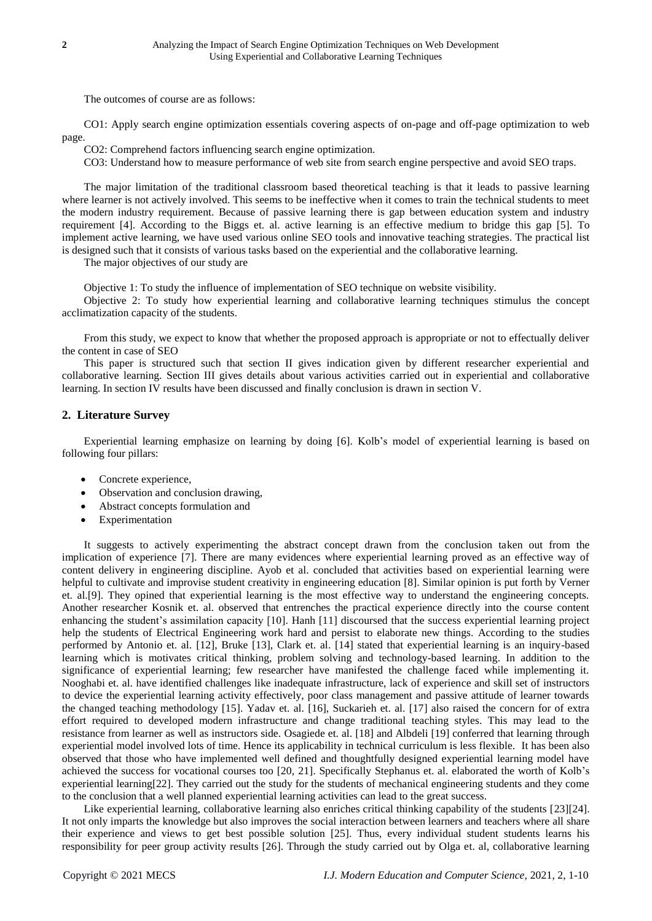The outcomes of course are as follows:

CO1: Apply search engine optimization essentials covering aspects of on-page and off-page optimization to web page.

CO2: Comprehend factors influencing search engine optimization.

CO3: Understand how to measure performance of web site from search engine perspective and avoid SEO traps.

The major limitation of the traditional classroom based theoretical teaching is that it leads to passive learning where learner is not actively involved. This seems to be ineffective when it comes to train the technical students to meet the modern industry requirement. Because of passive learning there is gap between education system and industry requirement [4]. According to the Biggs et. al. active learning is an effective medium to bridge this gap [5]. To implement active learning, we have used various online SEO tools and innovative teaching strategies. The practical list is designed such that it consists of various tasks based on the experiential and the collaborative learning.

The major objectives of our study are

Objective 1: To study the influence of implementation of SEO technique on website visibility.

Objective 2: To study how experiential learning and collaborative learning techniques stimulus the concept acclimatization capacity of the students.

From this study, we expect to know that whether the proposed approach is appropriate or not to effectually deliver the content in case of SEO

This paper is structured such that section II gives indication given by different researcher experiential and collaborative learning. Section III gives details about various activities carried out in experiential and collaborative learning. In section IV results have been discussed and finally conclusion is drawn in section V.

# **2. Literature Survey**

Experiential learning emphasize on learning by doing [6]. Kolb's model of experiential learning is based on following four pillars:

- Concrete experience,
- Observation and conclusion drawing,
- Abstract concepts formulation and
- Experimentation

It suggests to actively experimenting the abstract concept drawn from the conclusion taken out from the implication of experience [7]. There are many evidences where experiential learning proved as an effective way of content delivery in engineering discipline. Ayob et al. concluded that activities based on experiential learning were helpful to cultivate and improvise student creativity in engineering education [8]. Similar opinion is put forth by Verner et. al.[9]. They opined that experiential learning is the most effective way to understand the engineering concepts. Another researcher Kosnik et. al. observed that entrenches the practical experience directly into the course content enhancing the student's assimilation capacity [10]. Hanh [11] discoursed that the success experiential learning project help the students of Electrical Engineering work hard and persist to elaborate new things. According to the studies performed by Antonio et. al. [12], Bruke [13], Clark et. al. [14] stated that experiential learning is an inquiry-based learning which is motivates critical thinking, problem solving and technology-based learning. In addition to the significance of experiential learning; few researcher have manifested the challenge faced while implementing it. Nooghabi et. al. have identified challenges like inadequate infrastructure, lack of experience and skill set of instructors to device the experiential learning activity effectively, poor class management and passive attitude of learner towards the changed teaching methodology [15]. Yadav et. al. [16], Suckarieh et. al. [17] also raised the concern for of extra effort required to developed modern infrastructure and change traditional teaching styles. This may lead to the resistance from learner as well as instructors side. Osagiede et. al. [18] and Albdeli [19] conferred that learning through experiential model involved lots of time. Hence its applicability in technical curriculum is less flexible. It has been also observed that those who have implemented well defined and thoughtfully designed experiential learning model have achieved the success for vocational courses too [20, 21]. Specifically Stephanus et. al. elaborated the worth of Kolb's experiential learning[22]. They carried out the study for the students of mechanical engineering students and they come to the conclusion that a well planned experiential learning activities can lead to the great success.

Like experiential learning, collaborative learning also enriches critical thinking capability of the students [23][24]. It not only imparts the knowledge but also improves the social interaction between learners and teachers where all share their experience and views to get best possible solution [25]. Thus, every individual student students learns his responsibility for peer group activity results [26]. Through the study carried out by Olga et. al, collaborative learning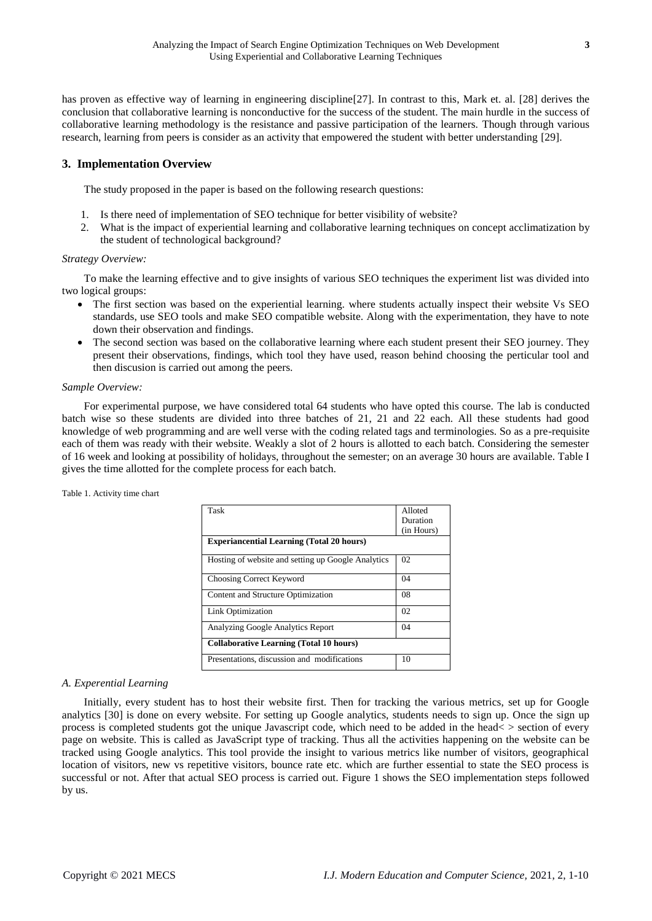has proven as effective way of learning in engineering discipline[27]. In contrast to this, Mark et. al. [28] derives the conclusion that collaborative learning is nonconductive for the success of the student. The main hurdle in the success of collaborative learning methodology is the resistance and passive participation of the learners. Though through various research, learning from peers is consider as an activity that empowered the student with better understanding [29].

# **3. Implementation Overview**

The study proposed in the paper is based on the following research questions:

- 1. Is there need of implementation of SEO technique for better visibility of website?
- 2. What is the impact of experiential learning and collaborative learning techniques on concept acclimatization by the student of technological background?

## *Strategy Overview:*

To make the learning effective and to give insights of various SEO techniques the experiment list was divided into two logical groups:

- The first section was based on the experiential learning, where students actually inspect their website Vs SEO standards, use SEO tools and make SEO compatible website. Along with the experimentation, they have to note down their observation and findings.
- The second section was based on the collaborative learning where each student present their SEO journey. They present their observations, findings, which tool they have used, reason behind choosing the perticular tool and then discusion is carried out among the peers.

## *Sample Overview:*

For experimental purpose, we have considered total 64 students who have opted this course. The lab is conducted batch wise so these students are divided into three batches of 21, 21 and 22 each. All these students had good knowledge of web programming and are well verse with the coding related tags and terminologies. So as a pre-requisite each of them was ready with their website. Weakly a slot of 2 hours is allotted to each batch. Considering the semester of 16 week and looking at possibility of holidays, throughout the semester; on an average 30 hours are available. Table I gives the time allotted for the complete process for each batch.

| Task                                               | Alloted    |  |
|----------------------------------------------------|------------|--|
|                                                    | Duration   |  |
|                                                    | (in Hours) |  |
| <b>Experiancential Learning (Total 20 hours)</b>   |            |  |
| Hosting of website and setting up Google Analytics | 02         |  |
| Choosing Correct Keyword                           | 04         |  |
| Content and Structure Optimization                 | 08         |  |
| Link Optimization                                  | 02         |  |
| Analyzing Google Analytics Report                  | 04         |  |
| <b>Collaborative Learning (Total 10 hours)</b>     |            |  |
| Presentations, discussion and modifications        | 10         |  |

## Table 1. Activity time chart

## *A. Experential Learning*

Initially, every student has to host their website first. Then for tracking the various metrics, set up for Google analytics [30] is done on every website. For setting up Google analytics, students needs to sign up. Once the sign up process is completed students got the unique Javascript code, which need to be added in the head< > section of every page on website. This is called as JavaScript type of tracking. Thus all the activities happening on the website can be tracked using Google analytics. This tool provide the insight to various metrics like number of visitors, geographical location of visitors, new vs repetitive visitors, bounce rate etc. which are further essential to state the SEO process is successful or not. After that actual SEO process is carried out. Figure 1 shows the SEO implementation steps followed by us.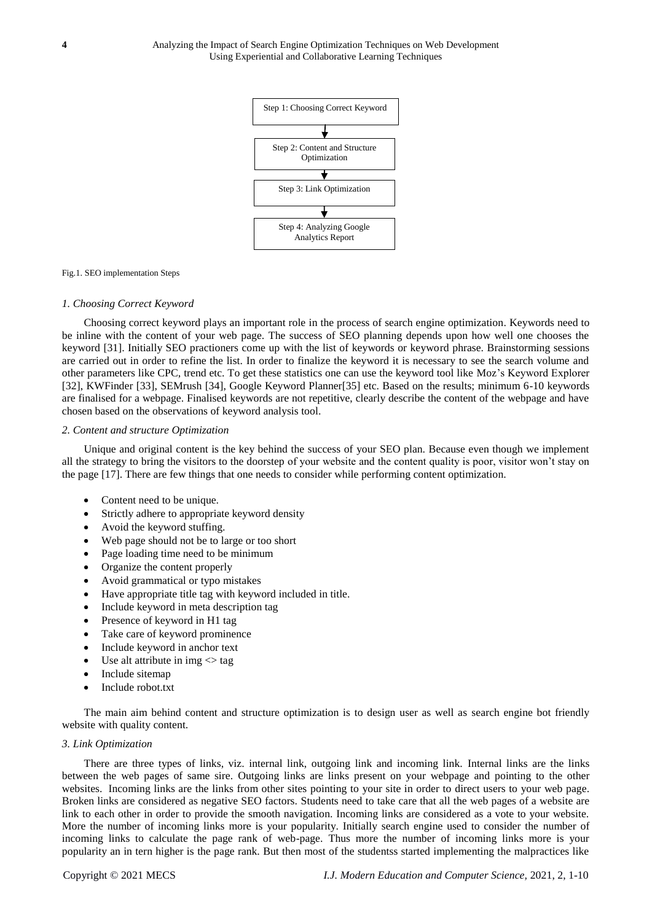

## Fig.1. SEO implementation Steps

## *1. Choosing Correct Keyword*

Choosing correct keyword plays an important role in the process of search engine optimization. Keywords need to be inline with the content of your web page. The success of SEO planning depends upon how well one chooses the keyword [31]. Initially SEO practioners come up with the list of keywords or keyword phrase. Brainstorming sessions are carried out in order to refine the list. In order to finalize the keyword it is necessary to see the search volume and other parameters like CPC, trend etc. To get these statistics one can use the keyword tool like Moz's Keyword Explorer [32], KWFinder [33], SEMrush [34], Google Keyword Planner[35] etc. Based on the results; minimum 6-10 keywords are finalised for a webpage. Finalised keywords are not repetitive, clearly describe the content of the webpage and have chosen based on the observations of keyword analysis tool.

#### *2. Content and structure Optimization*

Unique and original content is the key behind the success of your SEO plan. Because even though we implement all the strategy to bring the visitors to the doorstep of your website and the content quality is poor, visitor won't stay on the page [17]. There are few things that one needs to consider while performing content optimization.

- Content need to be unique.
- Strictly adhere to appropriate keyword density
- Avoid the keyword stuffing.
- Web page should not be to large or too short
- Page loading time need to be minimum
- Organize the content properly
- Avoid grammatical or typo mistakes
- Have appropriate title tag with keyword included in title.
- Include keyword in meta description tag
- Presence of keyword in H1 tag
- Take care of keyword prominence
- Include keyword in anchor text
- Use alt attribute in img $\leq$  tag
- Include sitemap
- Include robot.txt

The main aim behind content and structure optimization is to design user as well as search engine bot friendly website with quality content.

#### *3. Link Optimization*

There are three types of links, viz. internal link, outgoing link and incoming link. Internal links are the links between the web pages of same sire. Outgoing links are links present on your webpage and pointing to the other websites. Incoming links are the links from other sites pointing to your site in order to direct users to your web page. Broken links are considered as negative SEO factors. Students need to take care that all the web pages of a website are link to each other in order to provide the smooth navigation. Incoming links are considered as a vote to your website. More the number of incoming links more is your popularity. Initially search engine used to consider the number of incoming links to calculate the page rank of web-page. Thus more the number of incoming links more is your popularity an in tern higher is the page rank. But then most of the studentss started implementing the malpractices like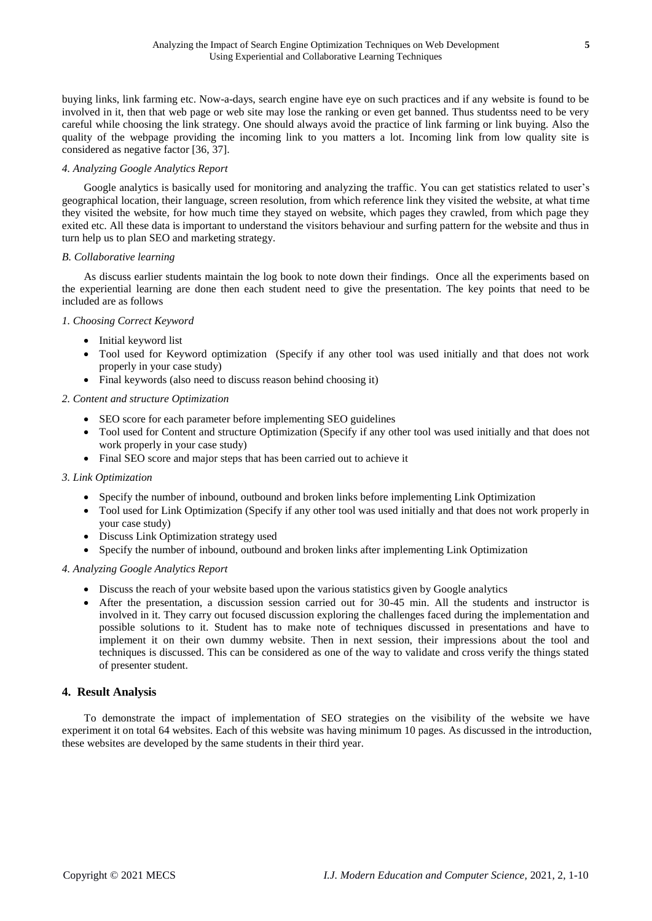buying links, link farming etc. Now-a-days, search engine have eye on such practices and if any website is found to be involved in it, then that web page or web site may lose the ranking or even get banned. Thus studentss need to be very careful while choosing the link strategy. One should always avoid the practice of link farming or link buying. Also the quality of the webpage providing the incoming link to you matters a lot. Incoming link from low quality site is considered as negative factor [36, 37].

# *4. Analyzing Google Analytics Report*

Google analytics is basically used for monitoring and analyzing the traffic. You can get statistics related to user's geographical location, their language, screen resolution, from which reference link they visited the website, at what time they visited the website, for how much time they stayed on website, which pages they crawled, from which page they exited etc. All these data is important to understand the visitors behaviour and surfing pattern for the website and thus in turn help us to plan SEO and marketing strategy.

## *B. Collaborative learning*

As discuss earlier students maintain the log book to note down their findings. Once all the experiments based on the experiential learning are done then each student need to give the presentation. The key points that need to be included are as follows

## *1. Choosing Correct Keyword*

- Initial keyword list
- Tool used for Keyword optimization (Specify if any other tool was used initially and that does not work properly in your case study)
- Final keywords (also need to discuss reason behind choosing it)

## *2. Content and structure Optimization*

- SEO score for each parameter before implementing SEO guidelines
- Tool used for Content and structure Optimization (Specify if any other tool was used initially and that does not work properly in your case study)
- Final SEO score and major steps that has been carried out to achieve it

## *3. Link Optimization*

- Specify the number of inbound, outbound and broken links before implementing Link Optimization
- Tool used for Link Optimization (Specify if any other tool was used initially and that does not work properly in your case study)
- Discuss Link Optimization strategy used
- Specify the number of inbound, outbound and broken links after implementing Link Optimization

# *4. Analyzing Google Analytics Report*

- Discuss the reach of your website based upon the various statistics given by Google analytics
- After the presentation, a discussion session carried out for 30-45 min. All the students and instructor is involved in it. They carry out focused discussion exploring the challenges faced during the implementation and possible solutions to it. Student has to make note of techniques discussed in presentations and have to implement it on their own dummy website. Then in next session, their impressions about the tool and techniques is discussed. This can be considered as one of the way to validate and cross verify the things stated of presenter student.

# **4. Result Analysis**

To demonstrate the impact of implementation of SEO strategies on the visibility of the website we have experiment it on total 64 websites. Each of this website was having minimum 10 pages. As discussed in the introduction, these websites are developed by the same students in their third year.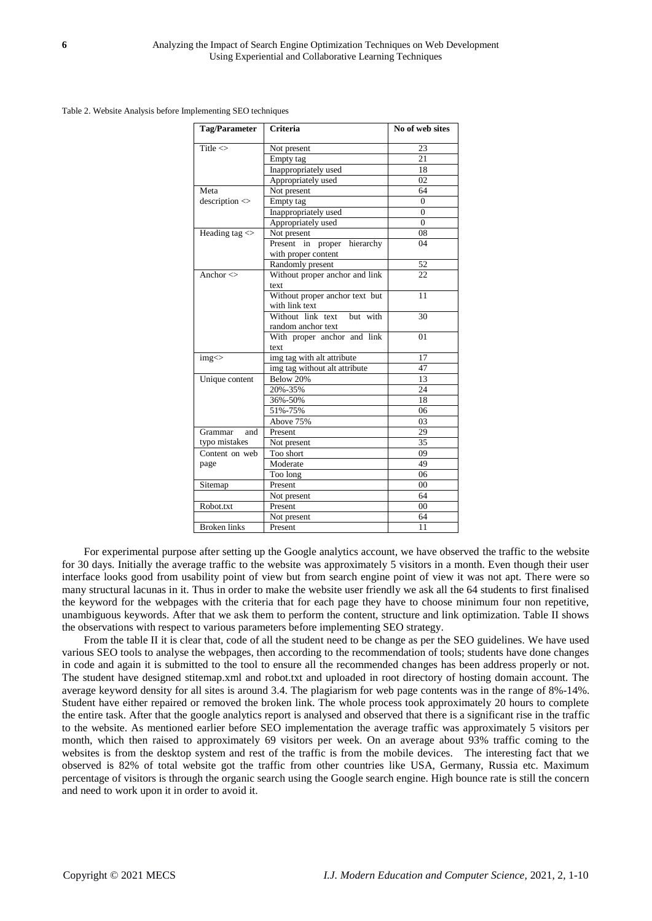Table 2. Website Analysis before Implementing SEO techniques

| <b>Tag/Parameter</b> | Criteria                                                    | No of web sites |
|----------------------|-------------------------------------------------------------|-----------------|
| Title $\leq$         | Not present                                                 | 23              |
|                      | Empty tag                                                   | 21              |
|                      | Inappropriately used                                        | 18              |
|                      | Appropriately used                                          | 02              |
| Meta                 | Not present                                                 | 64              |
| description <        | Empty tag                                                   | $\Omega$        |
|                      | Inappropriately used                                        | $\Omega$        |
|                      | Appropriately used                                          | $\Omega$        |
| Heading tag $\ll$    | Not present                                                 | 08              |
|                      | Present<br>in<br>hierarchy<br>proper<br>with proper content | 04              |
|                      | Randomly present                                            | 52              |
| Anchor $\leq$        | Without proper anchor and link<br>text                      | 22              |
|                      | Without proper anchor text but<br>with link text            | 11              |
|                      | Without link text<br>but with<br>random anchor text         | 30              |
|                      | With proper anchor and link<br>text                         | 01              |
| img <                | img tag with alt attribute                                  | 17              |
|                      | img tag without alt attribute                               | 47              |
| Unique content       | Below 20%                                                   | 13              |
|                      | 20%-35%                                                     | 24              |
|                      | 36%-50%                                                     | 18              |
|                      | 51%-75%                                                     | 06              |
|                      | Above 75%                                                   | 03              |
| Grammar<br>and       | Present                                                     | 29              |
| typo mistakes        | Not present                                                 | 35              |
| Content on web       | Too short                                                   | 09              |
| page                 | Moderate                                                    | 49              |
|                      | Too long                                                    | 06              |
| Sitemap              | Present                                                     | 00              |
|                      | Not present                                                 | 64              |
| Robot.txt            | Present                                                     | $00\,$          |
|                      | Not present                                                 | 64              |
| <b>Broken links</b>  | Present                                                     | 11              |

For experimental purpose after setting up the Google analytics account, we have observed the traffic to the website for 30 days. Initially the average traffic to the website was approximately 5 visitors in a month. Even though their user interface looks good from usability point of view but from search engine point of view it was not apt. There were so many structural lacunas in it. Thus in order to make the website user friendly we ask all the 64 students to first finalised the keyword for the webpages with the criteria that for each page they have to choose minimum four non repetitive, unambiguous keywords. After that we ask them to perform the content, structure and link optimization. Table II shows the observations with respect to various parameters before implementing SEO strategy.

From the table II it is clear that, code of all the student need to be change as per the SEO guidelines. We have used various SEO tools to analyse the webpages, then according to the recommendation of tools; students have done changes in code and again it is submitted to the tool to ensure all the recommended changes has been address properly or not. The student have designed stitemap.xml and robot.txt and uploaded in root directory of hosting domain account. The average keyword density for all sites is around 3.4. The plagiarism for web page contents was in the range of 8%-14%. Student have either repaired or removed the broken link. The whole process took approximately 20 hours to complete the entire task. After that the google analytics report is analysed and observed that there is a significant rise in the traffic to the website. As mentioned earlier before SEO implementation the average traffic was approximately 5 visitors per month, which then raised to approximately 69 visitors per week. On an average about 93% traffic coming to the websites is from the desktop system and rest of the traffic is from the mobile devices. The interesting fact that we observed is 82% of total website got the traffic from other countries like USA, Germany, Russia etc. Maximum percentage of visitors is through the organic search using the Google search engine. High bounce rate is still the concern and need to work upon it in order to avoid it.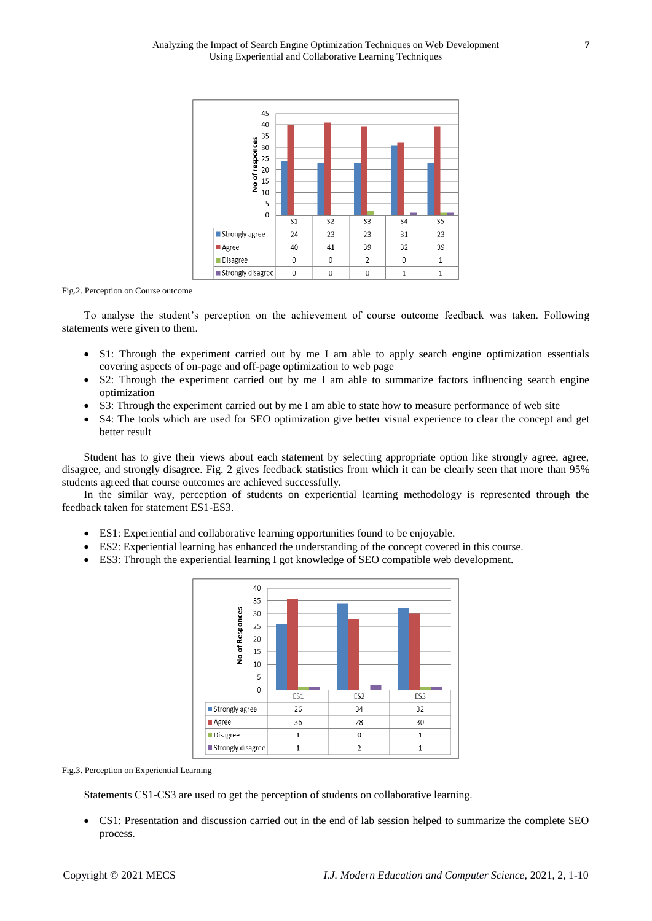

Fig.2. Perception on Course outcome

To analyse the student's perception on the achievement of course outcome feedback was taken. Following statements were given to them.

- S1: Through the experiment carried out by me I am able to apply search engine optimization essentials covering aspects of on-page and off-page optimization to web page
- S2: Through the experiment carried out by me I am able to summarize factors influencing search engine optimization
- S3: Through the experiment carried out by me I am able to state how to measure performance of web site
- S4: The tools which are used for SEO optimization give better visual experience to clear the concept and get better result

Student has to give their views about each statement by selecting appropriate option like strongly agree, agree, disagree, and strongly disagree. Fig. 2 gives feedback statistics from which it can be clearly seen that more than 95% students agreed that course outcomes are achieved successfully.

In the similar way, perception of students on experiential learning methodology is represented through the feedback taken for statement ES1-ES3.

- ES1: Experiential and collaborative learning opportunities found to be enjoyable.
- ES2: Experiential learning has enhanced the understanding of the concept covered in this course.
- ES3: Through the experiential learning I got knowledge of SEO compatible web development.



Fig.3. Perception on Experiential Learning

Statements CS1-CS3 are used to get the perception of students on collaborative learning.

 CS1: Presentation and discussion carried out in the end of lab session helped to summarize the complete SEO process.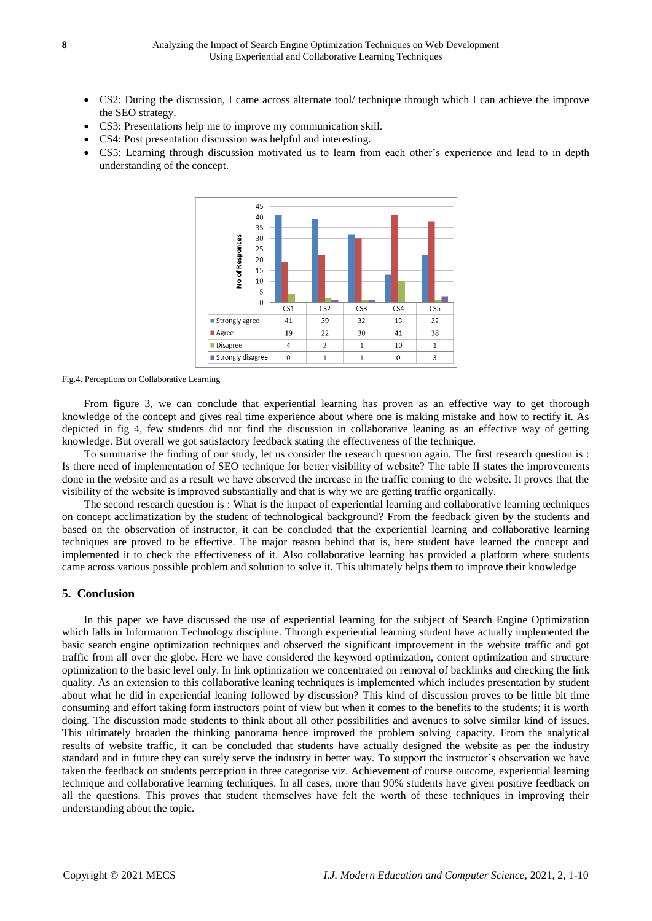- CS2: During the discussion, I came across alternate tool/ technique through which I can achieve the improve the SEO strategy.
- CS3: Presentations help me to improve my communication skill.
- CS4: Post presentation discussion was helpful and interesting.
- CS5: Learning through discussion motivated us to learn from each other's experience and lead to in depth understanding of the concept.



Fig.4. Perceptions on Collaborative Learning

From figure 3, we can conclude that experiential learning has proven as an effective way to get thorough knowledge of the concept and gives real time experience about where one is making mistake and how to rectify it. As depicted in fig 4, few students did not find the discussion in collaborative leaning as an effective way of getting knowledge. But overall we got satisfactory feedback stating the effectiveness of the technique.

To summarise the finding of our study, let us consider the research question again. The first research question is : Is there need of implementation of SEO technique for better visibility of website? The table II states the improvements done in the website and as a result we have observed the increase in the traffic coming to the website. It proves that the visibility of the website is improved substantially and that is why we are getting traffic organically.

The second research question is : What is the impact of experiential learning and collaborative learning techniques on concept acclimatization by the student of technological background? From the feedback given by the students and based on the observation of instructor, it can be concluded that the experiential learning and collaborative learning techniques are proved to be effective. The major reason behind that is, here student have learned the concept and implemented it to check the effectiveness of it. Also collaborative learning has provided a platform where students came across various possible problem and solution to solve it. This ultimately helps them to improve their knowledge

## **5. Conclusion**

In this paper we have discussed the use of experiential learning for the subject of Search Engine Optimization which falls in Information Technology discipline. Through experiential learning student have actually implemented the basic search engine optimization techniques and observed the significant improvement in the website traffic and got traffic from all over the globe. Here we have considered the keyword optimization, content optimization and structure optimization to the basic level only. In link optimization we concentrated on removal of backlinks and checking the link quality. As an extension to this collaborative leaning techniques is implemented which includes presentation by student about what he did in experiential leaning followed by discussion? This kind of discussion proves to be little bit time consuming and effort taking form instructors point of view but when it comes to the benefits to the students; it is worth doing. The discussion made students to think about all other possibilities and avenues to solve similar kind of issues. This ultimately broaden the thinking panorama hence improved the problem solving capacity. From the analytical results of website traffic, it can be concluded that students have actually designed the website as per the industry standard and in future they can surely serve the industry in better way. To support the instructor's observation we have taken the feedback on students perception in three categorise viz. Achievement of course outcome, experiential learning technique and collaborative learning techniques. In all cases, more than 90% students have given positive feedback on all the questions. This proves that student themselves have felt the worth of these techniques in improving their understanding about the topic.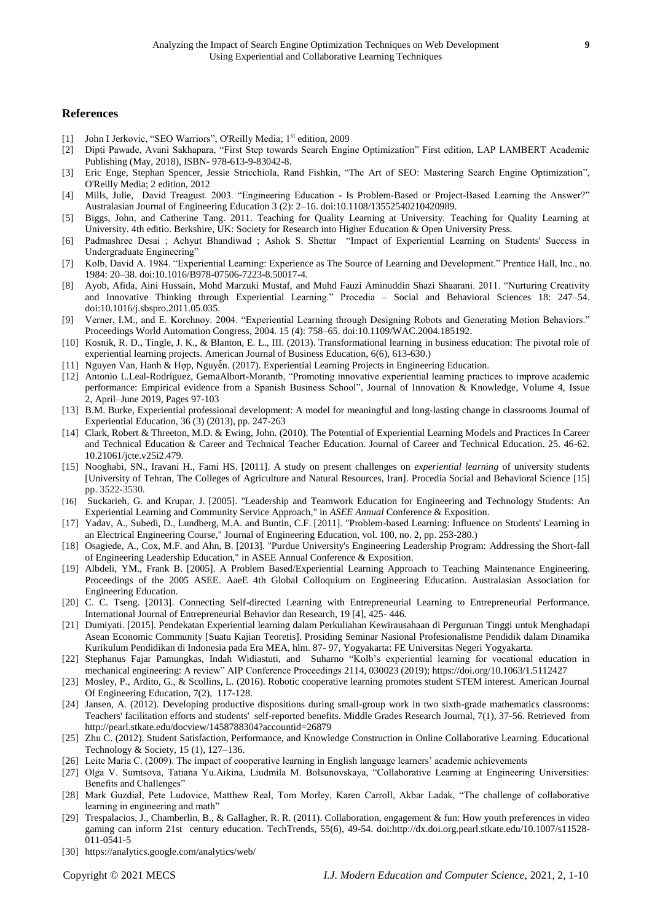## **References**

- [1] John I Jerkovic, "SEO Warriors", O'Reilly Media; 1<sup>st</sup> edition, 2009
- [2] Dipti Pawade, Avani Sakhapara, "First Step towards Search Engine Optimization" First edition, LAP LAMBERT Academic Publishing (May, 2018), ISBN- 978-613-9-83042-8.
- [3] Eric Enge, Stephan Spencer, Jessie Stricchiola, Rand Fishkin, "The Art of SEO: Mastering Search Engine Optimization", O'Reilly Media; 2 edition, 2012
- [4] Mills, Julie, David Treagust. 2003. "Engineering Education Is Problem-Based or Project-Based Learning the Answer?" Australasian Journal of Engineering Education 3 (2): 2–16. doi:10.1108/13552540210420989.
- [5] Biggs, John, and Catherine Tang. 2011. Teaching for Quality Learning at University. Teaching for Quality Learning at University. 4th editio. Berkshire, UK: Society for Research into Higher Education & Open University Press.
- [6] Padmashree Desai ; Achyut Bhandiwad ; Ashok S. Shettar "Impact of Experiential Learning on Students' Success in Undergraduate Engineering"
- [7] Kolb, David A. 1984. "Experiential Learning: Experience as The Source of Learning and Development." Prentice Hall, Inc., no. 1984: 20–38. doi:10.1016/B978-07506-7223-8.50017-4.
- [8] Ayob, Afida, Aini Hussain, Mohd Marzuki Mustaf, and Muhd Fauzi Aminuddin Shazi Shaarani. 2011. "Nurturing Creativity and Innovative Thinking through Experiential Learning." Procedia – Social and Behavioral Sciences 18: 247–54. doi:10.1016/j.sbspro.2011.05.035.
- [9] Verner, I.M., and E. Korchnoy. 2004. "Experiential Learning through Designing Robots and Generating Motion Behaviors." Proceedings World Automation Congress, 2004. 15 (4): 758–65. doi:10.1109/WAC.2004.185192.
- [10] Kosnik, R. D., Tingle, J. K., & Blanton, E. L., III. (2013). Transformational learning in business education: The pivotal role of experiential learning projects. American Journal of Business Education, 6(6), 613-630.)
- [11] Nguyen Van, Hanh & Hợp, Nguyễn. (2017). Experiential Learning Projects in Engineering Education.
- [12] Antonio L.Leal-Rodríguez, GemaAlbort-Morantb, "Promoting innovative experiential learning practices to improve academic performance: Empirical evidence from a Spanish Business School", [Journal of Innovation & Knowledge,](https://www.sciencedirect.com/science/journal/2444569X) Volume 4, Issue 2, April–June 2019, Pages 97-103
- [13] B.M. Burke, Experiential professional development: A model for meaningful and long-lasting change in classrooms Journal of Experiential Education, 36 (3) (2013), pp. 247-263
- [14] Clark, Robert & Threeton, M.D. & Ewing, John. (2010). The Potential of Experiential Learning Models and Practices In Career and Technical Education & Career and Technical Teacher Education. Journal of Career and Technical Education. 25. 46-62. 10.21061/jcte.v25i2.479.
- [15] Nooghabi, SN., Iravani H., Fami HS. [2011]. A study on present challenges on *experiential learning* of university students [University of Tehran, The Colleges of Agriculture and Natural Resources, Iran]. Procedia Social and Behavioral Science [15] pp. 3522-3530.
- [16] Suckarieh, G. and Krupar, J. [2005]. "Leadership and Teamwork Education for Engineering and Technology Students: An Experiential Learning and Community Service Approach," in *ASEE Annual* Conference & Exposition.
- [17] Yadav, A., Subedi, D., Lundberg, M.A. and Buntin, C.F. [2011]. "Problem-based Learning: Influence on Students' Learning in an Electrical Engineering Course," Journal of Engineering Education, vol. 100, no. 2, pp. 253-280.)
- [18] Osagiede, A., Cox, M.F. and Ahn, B. [2013]. "Purdue University's Engineering Leadership Program: Addressing the Short-fall of Engineering Leadership Education," in ASEE Annual Conference & Exposition.
- [19] Albdeli, YM., Frank B. [2005]. A Problem Based/Experiential Learning Approach to Teaching Maintenance Engineering. Proceedings of the 2005 ASEE. AaeE 4th Global Colloquium on Engineering Education. Australasian Association for Engineering Education.
- [20] C. C. Tseng. [2013]. Connecting Self-directed Learning with Entrepreneurial Learning to Entrepreneurial Performance. International Journal of Entrepreneurial Behavior dan Research, 19 [4], 425- 446.
- [21] Dumiyati. [2015]. Pendekatan Experiential learning dalam Perkuliahan Kewirausahaan di Perguruan Tinggi untuk Menghadapi Asean Economic Community [Suatu Kajian Teoretis]. Prosiding Seminar Nasional Profesionalisme Pendidik dalam Dinamika Kurikulum Pendidikan di Indonesia pada Era MEA, hlm. 87- 97, Yogyakarta: FE Universitas Negeri Yogyakarta.
- [22] Stephanus Fajar Pamungkas, Indah Widiastuti, and Suharno "Kolb's experiential learning for vocational education in mechanical engineering: A review" AIP Conference Proceedings 2114, 030023 (2019); https://doi.org/10.1063/1.5112427
- [23] Mosley, P., Ardito, G., & Scollins, L. (2016). Robotic cooperative learning promotes student STEM interest. American Journal Of Engineering Education, 7(2), 117-128.
- [24] Jansen, A. (2012). Developing productive dispositions during small-group work in two sixth-grade mathematics classrooms: Teachers' facilitation efforts and students' self-reported benefits. Middle Grades Research Journal, 7(1), 37-56. Retrieved from <http://pearl.stkate.edu/docview/1458788304?accountid=26879>
- [25] Zhu C. (2012). Student Satisfaction, Performance, and Knowledge Construction in Online Collaborative Learning. Educational Technology & Society, 15 (1), 127–136.
- [26] Leite Maria C. (2009). The impact of cooperative learning in English language learners' academic achievements
- [27] Olga V. Sumtsova, Tatiana Yu.Aikina, Liudmila M. Bolsunovskaya, "Collaborative Learning at Engineering Universities: Benefits and Challenges"
- [28] Mark Guzdial, Pete Ludovice, Matthew Real, Tom Morley, Karen Carroll, Akbar Ladak, "The challenge of collaborative learning in engineering and math"
- [29] Trespalacios, J., Chamberlin, B., & Gallagher, R. R. (2011). Collaboration, engagement & fun: How youth preferences in video gaming can inform 21st century education. TechTrends, 55(6), 49-54. doi:http://dx.doi.org.pearl.stkate.edu/10.1007/s11528- 011-0541-5
- [30] https://analytics.google.com/analytics/web/